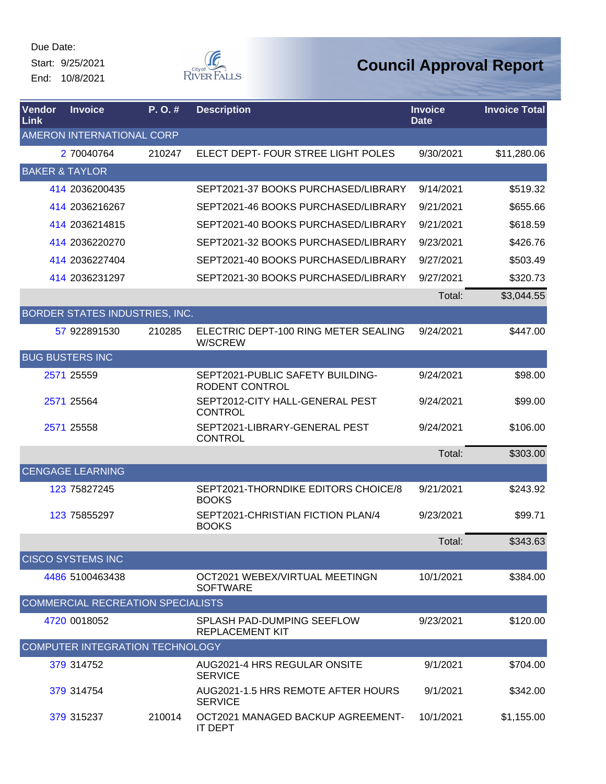Start: 9/25/2021 End: 10/8/2021



| Vendor<br>Link            | <b>Invoice</b>                    | P.O.#  | <b>Description</b>                                          | <b>Invoice</b><br><b>Date</b> | <b>Invoice Total</b> |
|---------------------------|-----------------------------------|--------|-------------------------------------------------------------|-------------------------------|----------------------|
|                           | AMERON INTERNATIONAL CORP         |        |                                                             |                               |                      |
|                           | 2 70040764                        | 210247 | ELECT DEPT- FOUR STREE LIGHT POLES                          | 9/30/2021                     | \$11,280.06          |
| <b>BAKER &amp; TAYLOR</b> |                                   |        |                                                             |                               |                      |
|                           | 414 2036200435                    |        | SEPT2021-37 BOOKS PURCHASED/LIBRARY                         | 9/14/2021                     | \$519.32             |
|                           | 414 2036216267                    |        | SEPT2021-46 BOOKS PURCHASED/LIBRARY                         | 9/21/2021                     | \$655.66             |
|                           | 414 2036214815                    |        | SEPT2021-40 BOOKS PURCHASED/LIBRARY                         | 9/21/2021                     | \$618.59             |
|                           | 414 2036220270                    |        | SEPT2021-32 BOOKS PURCHASED/LIBRARY                         | 9/23/2021                     | \$426.76             |
|                           | 414 2036227404                    |        | SEPT2021-40 BOOKS PURCHASED/LIBRARY                         | 9/27/2021                     | \$503.49             |
|                           | 414 2036231297                    |        | SEPT2021-30 BOOKS PURCHASED/LIBRARY                         | 9/27/2021                     | \$320.73             |
|                           |                                   |        |                                                             | Total:                        | \$3,044.55           |
|                           | BORDER STATES INDUSTRIES, INC.    |        |                                                             |                               |                      |
|                           | 57 922891530                      | 210285 | ELECTRIC DEPT-100 RING METER SEALING<br>W/SCREW             | 9/24/2021                     | \$447.00             |
|                           | <b>BUG BUSTERS INC</b>            |        |                                                             |                               |                      |
|                           | 2571 25559                        |        | SEPT2021-PUBLIC SAFETY BUILDING-<br><b>RODENT CONTROL</b>   | 9/24/2021                     | \$98.00              |
|                           | 2571 25564                        |        | SEPT2012-CITY HALL-GENERAL PEST<br><b>CONTROL</b>           | 9/24/2021                     | \$99.00              |
|                           | 2571 25558                        |        | SEPT2021-LIBRARY-GENERAL PEST<br><b>CONTROL</b>             | 9/24/2021                     | \$106.00             |
|                           |                                   |        |                                                             | Total:                        | \$303.00             |
|                           | <b>CENGAGE LEARNING</b>           |        |                                                             |                               |                      |
|                           | 123 75827245                      |        | SEPT2021-THORNDIKE EDITORS CHOICE/8<br><b>BOOKS</b>         | 9/21/2021                     | \$243.92             |
|                           | 123 75855297                      |        | SEPT2021-CHRISTIAN FICTION PLAN/4<br><b>BOOKS</b>           | 9/23/2021                     | \$99.71              |
|                           |                                   |        |                                                             | Total:                        | \$343.63             |
|                           | <b>CISCO SYSTEMS INC</b>          |        |                                                             |                               |                      |
|                           | 4486 5100463438                   |        | OCT2021 WEBEX/VIRTUAL MEETINGN<br><b>SOFTWARE</b>           | 10/1/2021                     | \$384.00             |
|                           | COMMERCIAL RECREATION SPECIALISTS |        |                                                             |                               |                      |
|                           | 4720 0018052                      |        | <b>SPLASH PAD-DUMPING SEEFLOW</b><br><b>REPLACEMENT KIT</b> | 9/23/2021                     | \$120.00             |
|                           | COMPUTER INTEGRATION TECHNOLOGY   |        |                                                             |                               |                      |
|                           | 379 314752                        |        | AUG2021-4 HRS REGULAR ONSITE<br><b>SERVICE</b>              | 9/1/2021                      | \$704.00             |
|                           | 379 314754                        |        | AUG2021-1.5 HRS REMOTE AFTER HOURS<br><b>SERVICE</b>        | 9/1/2021                      | \$342.00             |
|                           | 379 315237                        | 210014 | OCT2021 MANAGED BACKUP AGREEMENT-<br><b>IT DEPT</b>         | 10/1/2021                     | \$1,155.00           |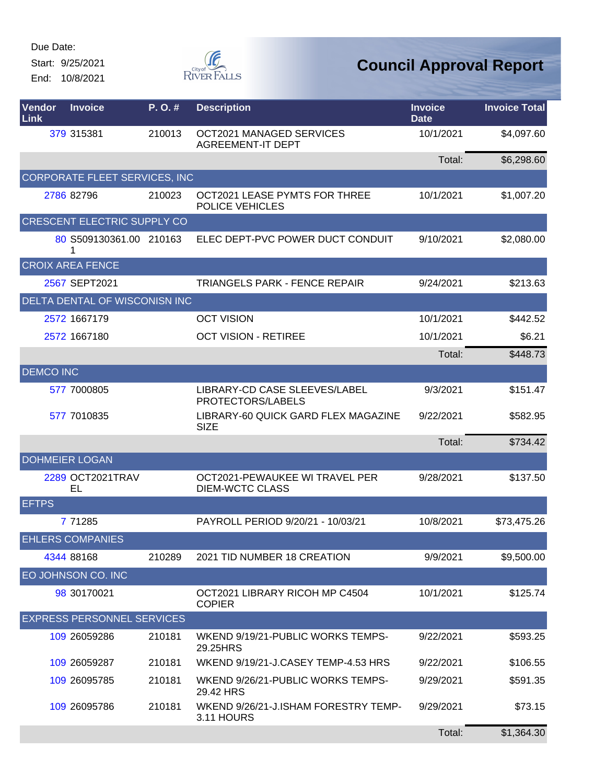Start: 9/25/2021 End: 10/8/2021



| Vendor<br>Link   | <b>Invoice</b>                     | P. O. # | <b>Description</b>                                       | <b>Invoice</b><br><b>Date</b> | <b>Invoice Total</b> |
|------------------|------------------------------------|---------|----------------------------------------------------------|-------------------------------|----------------------|
|                  | 379 315381                         | 210013  | OCT2021 MANAGED SERVICES<br><b>AGREEMENT-IT DEPT</b>     | 10/1/2021                     | \$4,097.60           |
|                  |                                    |         |                                                          | Total:                        | \$6,298.60           |
|                  | CORPORATE FLEET SERVICES, INC      |         |                                                          |                               |                      |
|                  | 2786 82796                         | 210023  | OCT2021 LEASE PYMTS FOR THREE<br>POLICE VEHICLES         | 10/1/2021                     | \$1,007.20           |
|                  | <b>CRESCENT ELECTRIC SUPPLY CO</b> |         |                                                          |                               |                      |
|                  | 80 S509130361.00 210163<br>1       |         | ELEC DEPT-PVC POWER DUCT CONDUIT                         | 9/10/2021                     | \$2,080.00           |
|                  | <b>CROIX AREA FENCE</b>            |         |                                                          |                               |                      |
|                  | 2567 SEPT2021                      |         | <b>TRIANGELS PARK - FENCE REPAIR</b>                     | 9/24/2021                     | \$213.63             |
|                  | DELTA DENTAL OF WISCONISN INC      |         |                                                          |                               |                      |
|                  | 2572 1667179                       |         | <b>OCT VISION</b>                                        | 10/1/2021                     | \$442.52             |
|                  | 2572 1667180                       |         | <b>OCT VISION - RETIREE</b>                              | 10/1/2021                     | \$6.21               |
|                  |                                    |         |                                                          | Total:                        | \$448.73             |
| <b>DEMCO INC</b> |                                    |         |                                                          |                               |                      |
|                  | 577 7000805                        |         | LIBRARY-CD CASE SLEEVES/LABEL<br>PROTECTORS/LABELS       | 9/3/2021                      | \$151.47             |
|                  | 577 7010835                        |         | LIBRARY-60 QUICK GARD FLEX MAGAZINE<br><b>SIZE</b>       | 9/22/2021                     | \$582.95             |
|                  |                                    |         |                                                          | Total:                        | \$734.42             |
|                  | <b>DOHMEIER LOGAN</b>              |         |                                                          |                               |                      |
|                  | 2289 OCT2021TRAV<br>EL             |         | OCT2021-PEWAUKEE WI TRAVEL PER<br><b>DIEM-WCTC CLASS</b> | 9/28/2021                     | \$137.50             |
| <b>EFTPS</b>     |                                    |         |                                                          |                               |                      |
|                  | 7 71285                            |         | PAYROLL PERIOD 9/20/21 - 10/03/21                        | 10/8/2021                     | \$73,475.26          |
|                  | <b>EHLERS COMPANIES</b>            |         |                                                          |                               |                      |
|                  | 4344 88168                         | 210289  | 2021 TID NUMBER 18 CREATION                              | 9/9/2021                      | \$9,500.00           |
|                  | EO JOHNSON CO. INC                 |         |                                                          |                               |                      |
|                  | 98 30170021                        |         | OCT2021 LIBRARY RICOH MP C4504<br><b>COPIER</b>          | 10/1/2021                     | \$125.74             |
|                  | <b>EXPRESS PERSONNEL SERVICES</b>  |         |                                                          |                               |                      |
|                  | 109 26059286                       | 210181  | WKEND 9/19/21-PUBLIC WORKS TEMPS-<br>29.25HRS            | 9/22/2021                     | \$593.25             |
|                  | 109 26059287                       | 210181  | WKEND 9/19/21-J.CASEY TEMP-4.53 HRS                      | 9/22/2021                     | \$106.55             |
|                  | 109 26095785                       | 210181  | WKEND 9/26/21-PUBLIC WORKS TEMPS-<br>29.42 HRS           | 9/29/2021                     | \$591.35             |
|                  | 109 26095786                       | 210181  | WKEND 9/26/21-J.ISHAM FORESTRY TEMP-<br>3.11 HOURS       | 9/29/2021                     | \$73.15              |
|                  |                                    |         |                                                          | Total:                        | \$1,364.30           |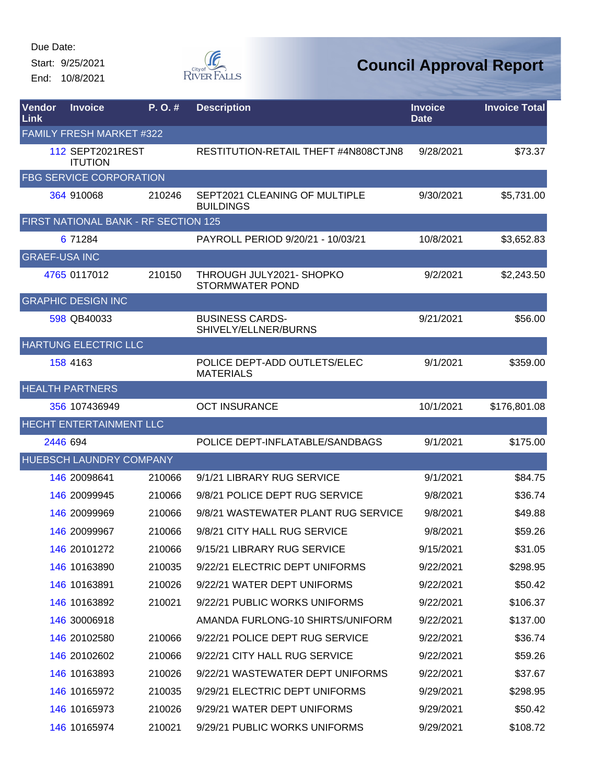Start: 9/25/2021 End: 10/8/2021



| <b>Vendor</b><br>Link | <b>Invoice</b>                       | P. O. # | <b>Description</b>                                 | <b>Invoice</b><br><b>Date</b> | <b>Invoice Total</b> |
|-----------------------|--------------------------------------|---------|----------------------------------------------------|-------------------------------|----------------------|
|                       | <b>FAMILY FRESH MARKET #322</b>      |         |                                                    |                               |                      |
|                       | 112 SEPT2021REST<br><b>ITUTION</b>   |         | RESTITUTION-RETAIL THEFT #4N808CTJN8               | 9/28/2021                     | \$73.37              |
|                       | <b>FBG SERVICE CORPORATION</b>       |         |                                                    |                               |                      |
|                       | 364 910068                           | 210246  | SEPT2021 CLEANING OF MULTIPLE<br><b>BUILDINGS</b>  | 9/30/2021                     | \$5,731.00           |
|                       | FIRST NATIONAL BANK - RF SECTION 125 |         |                                                    |                               |                      |
|                       | 6 71284                              |         | PAYROLL PERIOD 9/20/21 - 10/03/21                  | 10/8/2021                     | \$3,652.83           |
| <b>GRAEF-USA INC</b>  |                                      |         |                                                    |                               |                      |
|                       | 4765 0117012                         | 210150  | THROUGH JULY2021- SHOPKO<br><b>STORMWATER POND</b> | 9/2/2021                      | \$2,243.50           |
|                       | <b>GRAPHIC DESIGN INC</b>            |         |                                                    |                               |                      |
|                       | 598 QB40033                          |         | <b>BUSINESS CARDS-</b><br>SHIVELY/ELLNER/BURNS     | 9/21/2021                     | \$56.00              |
|                       | HARTUNG ELECTRIC LLC                 |         |                                                    |                               |                      |
|                       | 158 4163                             |         | POLICE DEPT-ADD OUTLETS/ELEC<br><b>MATERIALS</b>   | 9/1/2021                      | \$359.00             |
|                       | <b>HEALTH PARTNERS</b>               |         |                                                    |                               |                      |
|                       | 356 107436949                        |         | <b>OCT INSURANCE</b>                               | 10/1/2021                     | \$176,801.08         |
|                       | HECHT ENTERTAINMENT LLC              |         |                                                    |                               |                      |
|                       | 2446 694                             |         | POLICE DEPT-INFLATABLE/SANDBAGS                    | 9/1/2021                      | \$175.00             |
|                       | HUEBSCH LAUNDRY COMPANY              |         |                                                    |                               |                      |
|                       | 146 20098641                         | 210066  | 9/1/21 LIBRARY RUG SERVICE                         | 9/1/2021                      | \$84.75              |
|                       | 146 20099945                         | 210066  | 9/8/21 POLICE DEPT RUG SERVICE                     | 9/8/2021                      | \$36.74              |
|                       | 146 20099969                         | 210066  | 9/8/21 WASTEWATER PLANT RUG SERVICE                | 9/8/2021                      | \$49.88              |
|                       | 146 20099967                         | 210066  | 9/8/21 CITY HALL RUG SERVICE                       | 9/8/2021                      | \$59.26              |
|                       | 146 20101272                         | 210066  | 9/15/21 LIBRARY RUG SERVICE                        | 9/15/2021                     | \$31.05              |
|                       | 146 10163890                         | 210035  | 9/22/21 ELECTRIC DEPT UNIFORMS                     | 9/22/2021                     | \$298.95             |
|                       | 146 10163891                         | 210026  | 9/22/21 WATER DEPT UNIFORMS                        | 9/22/2021                     | \$50.42              |
|                       | 146 10163892                         | 210021  | 9/22/21 PUBLIC WORKS UNIFORMS                      | 9/22/2021                     | \$106.37             |
|                       | 146 30006918                         |         | AMANDA FURLONG-10 SHIRTS/UNIFORM                   | 9/22/2021                     | \$137.00             |
|                       | 146 20102580                         | 210066  | 9/22/21 POLICE DEPT RUG SERVICE                    | 9/22/2021                     | \$36.74              |
|                       | 146 20102602                         | 210066  | 9/22/21 CITY HALL RUG SERVICE                      | 9/22/2021                     | \$59.26              |
|                       | 146 10163893                         | 210026  | 9/22/21 WASTEWATER DEPT UNIFORMS                   | 9/22/2021                     | \$37.67              |
|                       | 146 10165972                         | 210035  | 9/29/21 ELECTRIC DEPT UNIFORMS                     | 9/29/2021                     | \$298.95             |
|                       | 146 10165973                         | 210026  | 9/29/21 WATER DEPT UNIFORMS                        | 9/29/2021                     | \$50.42              |
|                       | 146 10165974                         | 210021  | 9/29/21 PUBLIC WORKS UNIFORMS                      | 9/29/2021                     | \$108.72             |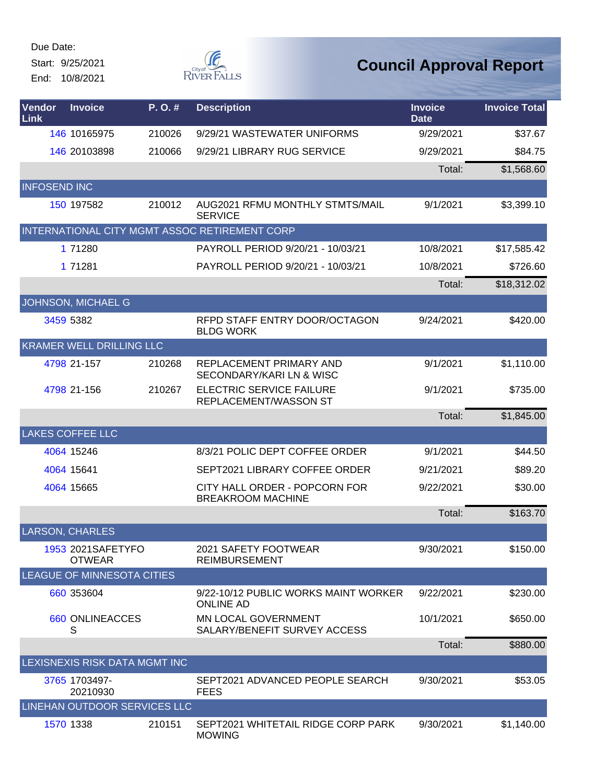Start: 9/25/2021

End: 10/8/2021



| Vendor<br>Link      | <b>Invoice</b>                     | P.O.#  | <b>Description</b>                                         | <b>Invoice</b><br><b>Date</b> | <b>Invoice Total</b> |
|---------------------|------------------------------------|--------|------------------------------------------------------------|-------------------------------|----------------------|
|                     | 146 10165975                       | 210026 | 9/29/21 WASTEWATER UNIFORMS                                | 9/29/2021                     | \$37.67              |
|                     | 146 20103898                       | 210066 | 9/29/21 LIBRARY RUG SERVICE                                | 9/29/2021                     | \$84.75              |
|                     |                                    |        |                                                            | Total:                        | \$1,568.60           |
| <b>INFOSEND INC</b> |                                    |        |                                                            |                               |                      |
|                     | 150 197582                         | 210012 | AUG2021 RFMU MONTHLY STMTS/MAIL<br><b>SERVICE</b>          | 9/1/2021                      | \$3,399.10           |
|                     |                                    |        | INTERNATIONAL CITY MGMT ASSOC RETIREMENT CORP              |                               |                      |
|                     | 1 71280                            |        | PAYROLL PERIOD 9/20/21 - 10/03/21                          | 10/8/2021                     | \$17,585.42          |
|                     | 1 71281                            |        | PAYROLL PERIOD 9/20/21 - 10/03/21                          | 10/8/2021                     | \$726.60             |
|                     |                                    |        |                                                            | Total:                        | \$18,312.02          |
|                     | JOHNSON, MICHAEL G                 |        |                                                            |                               |                      |
|                     | 3459 5382                          |        | RFPD STAFF ENTRY DOOR/OCTAGON<br><b>BLDG WORK</b>          | 9/24/2021                     | \$420.00             |
|                     | <b>KRAMER WELL DRILLING LLC</b>    |        |                                                            |                               |                      |
|                     | 4798 21-157                        | 210268 | REPLACEMENT PRIMARY AND<br>SECONDARY/KARI LN & WISC        | 9/1/2021                      | \$1,110.00           |
|                     | 4798 21-156                        | 210267 | <b>ELECTRIC SERVICE FAILURE</b><br>REPLACEMENT/WASSON ST   | 9/1/2021                      | \$735.00             |
|                     |                                    |        |                                                            | Total:                        | \$1,845.00           |
|                     | <b>LAKES COFFEE LLC</b>            |        |                                                            |                               |                      |
|                     | 4064 15246                         |        | 8/3/21 POLIC DEPT COFFEE ORDER                             | 9/1/2021                      | \$44.50              |
|                     | 4064 15641                         |        | SEPT2021 LIBRARY COFFEE ORDER                              | 9/21/2021                     | \$89.20              |
|                     | 4064 15665                         |        | CITY HALL ORDER - POPCORN FOR<br><b>BREAKROOM MACHINE</b>  | 9/22/2021                     | \$30.00              |
|                     |                                    |        |                                                            | Total:                        | \$163.70             |
|                     | <b>LARSON, CHARLES</b>             |        |                                                            |                               |                      |
|                     | 1953 2021SAFETYFO<br><b>OTWEAR</b> |        | 2021 SAFETY FOOTWEAR<br><b>REIMBURSEMENT</b>               | 9/30/2021                     | \$150.00             |
|                     | <b>LEAGUE OF MINNESOTA CITIES</b>  |        |                                                            |                               |                      |
|                     | 660 353604                         |        | 9/22-10/12 PUBLIC WORKS MAINT WORKER<br><b>ONLINE AD</b>   | 9/22/2021                     | \$230.00             |
|                     | 660 ONLINEACCES<br>S               |        | <b>MN LOCAL GOVERNMENT</b><br>SALARY/BENEFIT SURVEY ACCESS | 10/1/2021                     | \$650.00             |
|                     |                                    |        |                                                            | Total:                        | \$880.00             |
|                     | LEXISNEXIS RISK DATA MGMT INC      |        |                                                            |                               |                      |
|                     | 3765 1703497-<br>20210930          |        | SEPT2021 ADVANCED PEOPLE SEARCH<br><b>FEES</b>             | 9/30/2021                     | \$53.05              |
|                     | LINEHAN OUTDOOR SERVICES LLC       |        |                                                            |                               |                      |
|                     | 1570 1338                          | 210151 | SEPT2021 WHITETAIL RIDGE CORP PARK<br><b>MOWING</b>        | 9/30/2021                     | \$1,140.00           |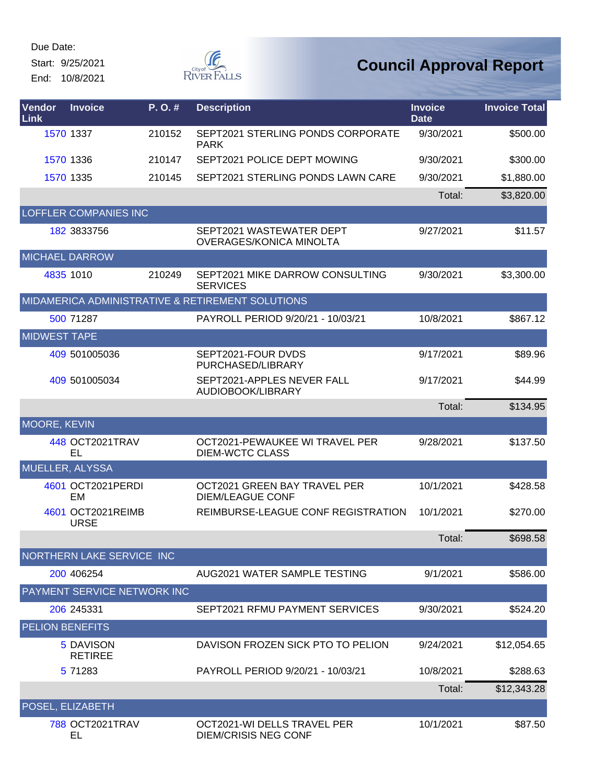Start: 9/25/2021 End: 10/8/2021



| Vendor<br>Link         | <b>Invoice</b>                   | P.O.#  | <b>Description</b>                                         | <b>Invoice</b><br><b>Date</b> | <b>Invoice Total</b> |
|------------------------|----------------------------------|--------|------------------------------------------------------------|-------------------------------|----------------------|
|                        | 1570 1337                        | 210152 | SEPT2021 STERLING PONDS CORPORATE<br><b>PARK</b>           | 9/30/2021                     | \$500.00             |
|                        | 1570 1336                        | 210147 | SEPT2021 POLICE DEPT MOWING                                | 9/30/2021                     | \$300.00             |
|                        | 1570 1335                        | 210145 | SEPT2021 STERLING PONDS LAWN CARE                          | 9/30/2021                     | \$1,880.00           |
|                        |                                  |        |                                                            | Total:                        | \$3,820.00           |
|                        | <b>LOFFLER COMPANIES INC</b>     |        |                                                            |                               |                      |
|                        | 182 3833756                      |        | SEPT2021 WASTEWATER DEPT<br>OVERAGES/KONICA MINOLTA        | 9/27/2021                     | \$11.57              |
| <b>MICHAEL DARROW</b>  |                                  |        |                                                            |                               |                      |
|                        | 4835 1010                        | 210249 | SEPT2021 MIKE DARROW CONSULTING<br><b>SERVICES</b>         | 9/30/2021                     | \$3,300.00           |
|                        |                                  |        | MIDAMERICA ADMINISTRATIVE & RETIREMENT SOLUTIONS           |                               |                      |
|                        | 500 71287                        |        | PAYROLL PERIOD 9/20/21 - 10/03/21                          | 10/8/2021                     | \$867.12             |
| <b>MIDWEST TAPE</b>    |                                  |        |                                                            |                               |                      |
|                        | 409 501005036                    |        | SEPT2021-FOUR DVDS<br>PURCHASED/LIBRARY                    | 9/17/2021                     | \$89.96              |
|                        | 409 501005034                    |        | SEPT2021-APPLES NEVER FALL<br>AUDIOBOOK/LIBRARY            | 9/17/2021                     | \$44.99              |
|                        |                                  |        |                                                            | Total:                        | \$134.95             |
| MOORE, KEVIN           |                                  |        |                                                            |                               |                      |
|                        | 448 OCT2021TRAV<br>EL            |        | OCT2021-PEWAUKEE WI TRAVEL PER<br><b>DIEM-WCTC CLASS</b>   | 9/28/2021                     | \$137.50             |
| <b>MUELLER, ALYSSA</b> |                                  |        |                                                            |                               |                      |
|                        | 4601 OCT2021PERDI<br>EM          |        | OCT2021 GREEN BAY TRAVEL PER<br><b>DIEM/LEAGUE CONF</b>    | 10/1/2021                     | \$428.58             |
|                        | 4601 OCT2021REIMB<br><b>URSE</b> |        | REIMBURSE-LEAGUE CONF REGISTRATION                         | 10/1/2021                     | \$270.00             |
|                        |                                  |        |                                                            | Total:                        | \$698.58             |
|                        | NORTHERN LAKE SERVICE INC        |        |                                                            |                               |                      |
|                        | 200 406254                       |        | AUG2021 WATER SAMPLE TESTING                               | 9/1/2021                      | \$586.00             |
|                        | PAYMENT SERVICE NETWORK INC      |        |                                                            |                               |                      |
|                        | 206 245331                       |        | SEPT2021 RFMU PAYMENT SERVICES                             | 9/30/2021                     | \$524.20             |
| <b>PELION BENEFITS</b> |                                  |        |                                                            |                               |                      |
|                        | 5 DAVISON<br><b>RETIREE</b>      |        | DAVISON FROZEN SICK PTO TO PELION                          | 9/24/2021                     | \$12,054.65          |
|                        | 5 71283                          |        | PAYROLL PERIOD 9/20/21 - 10/03/21                          | 10/8/2021                     | \$288.63             |
|                        |                                  |        |                                                            | Total:                        | \$12,343.28          |
|                        | POSEL, ELIZABETH                 |        |                                                            |                               |                      |
|                        | 788 OCT2021TRAV<br>EL            |        | OCT2021-WI DELLS TRAVEL PER<br><b>DIEM/CRISIS NEG CONF</b> | 10/1/2021                     | \$87.50              |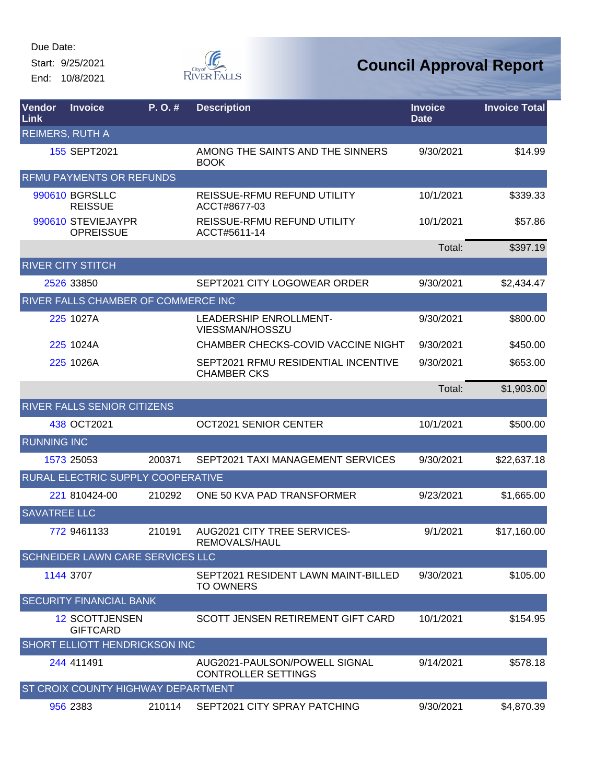Start: 9/25/2021 End: 10/8/2021



| <b>Vendor</b><br>Link  | <b>Invoice</b>                           | P.O.#  | <b>Description</b>                                          | <b>Invoice</b><br><b>Date</b> | <b>Invoice Total</b> |
|------------------------|------------------------------------------|--------|-------------------------------------------------------------|-------------------------------|----------------------|
| <b>REIMERS, RUTH A</b> |                                          |        |                                                             |                               |                      |
|                        | 155 SEPT2021                             |        | AMONG THE SAINTS AND THE SINNERS<br><b>BOOK</b>             | 9/30/2021                     | \$14.99              |
|                        | <b>RFMU PAYMENTS OR REFUNDS</b>          |        |                                                             |                               |                      |
|                        | 990610 BGRSLLC<br><b>REISSUE</b>         |        | <b>REISSUE-RFMU REFUND UTILITY</b><br>ACCT#8677-03          | 10/1/2021                     | \$339.33             |
|                        | 990610 STEVIEJAYPR<br><b>OPREISSUE</b>   |        | REISSUE-RFMU REFUND UTILITY<br>ACCT#5611-14                 | 10/1/2021                     | \$57.86              |
|                        |                                          |        |                                                             | Total:                        | \$397.19             |
|                        | <b>RIVER CITY STITCH</b>                 |        |                                                             |                               |                      |
|                        | 2526 33850                               |        | SEPT2021 CITY LOGOWEAR ORDER                                | 9/30/2021                     | \$2,434.47           |
|                        | RIVER FALLS CHAMBER OF COMMERCE INC      |        |                                                             |                               |                      |
|                        | 225 1027A                                |        | <b>LEADERSHIP ENROLLMENT-</b><br>VIESSMAN/HOSSZU            | 9/30/2021                     | \$800.00             |
|                        | 225 1024A                                |        | CHAMBER CHECKS-COVID VACCINE NIGHT                          | 9/30/2021                     | \$450.00             |
|                        | 225 1026A                                |        | SEPT2021 RFMU RESIDENTIAL INCENTIVE<br><b>CHAMBER CKS</b>   | 9/30/2021                     | \$653.00             |
|                        |                                          |        |                                                             | Total:                        | \$1,903.00           |
|                        | RIVER FALLS SENIOR CITIZENS              |        |                                                             |                               |                      |
|                        | 438 OCT2021                              |        | OCT2021 SENIOR CENTER                                       | 10/1/2021                     | \$500.00             |
| <b>RUNNING INC</b>     |                                          |        |                                                             |                               |                      |
|                        | 1573 25053                               | 200371 | SEPT2021 TAXI MANAGEMENT SERVICES                           | 9/30/2021                     | \$22,637.18          |
|                        | RURAL ELECTRIC SUPPLY COOPERATIVE        |        |                                                             |                               |                      |
|                        | 221 810424-00                            | 210292 | ONE 50 KVA PAD TRANSFORMER                                  | 9/23/2021                     | \$1,665.00           |
| <b>SAVATREE LLC</b>    |                                          |        |                                                             |                               |                      |
|                        | 772 9461133                              | 210191 | <b>AUG2021 CITY TREE SERVICES-</b><br>REMOVALS/HAUL         | 9/1/2021                      | \$17,160.00          |
|                        | SCHNEIDER LAWN CARE SERVICES LLC         |        |                                                             |                               |                      |
|                        | 1144 3707                                |        | SEPT2021 RESIDENT LAWN MAINT-BILLED<br><b>TO OWNERS</b>     | 9/30/2021                     | \$105.00             |
|                        | <b>SECURITY FINANCIAL BANK</b>           |        |                                                             |                               |                      |
|                        | <b>12 SCOTTJENSEN</b><br><b>GIFTCARD</b> |        | SCOTT JENSEN RETIREMENT GIFT CARD                           | 10/1/2021                     | \$154.95             |
|                        | SHORT ELLIOTT HENDRICKSON INC            |        |                                                             |                               |                      |
|                        | 244 411491                               |        | AUG2021-PAULSON/POWELL SIGNAL<br><b>CONTROLLER SETTINGS</b> | 9/14/2021                     | \$578.18             |
|                        | ST CROIX COUNTY HIGHWAY DEPARTMENT       |        |                                                             |                               |                      |
|                        | 956 2383                                 | 210114 | SEPT2021 CITY SPRAY PATCHING                                | 9/30/2021                     | \$4,870.39           |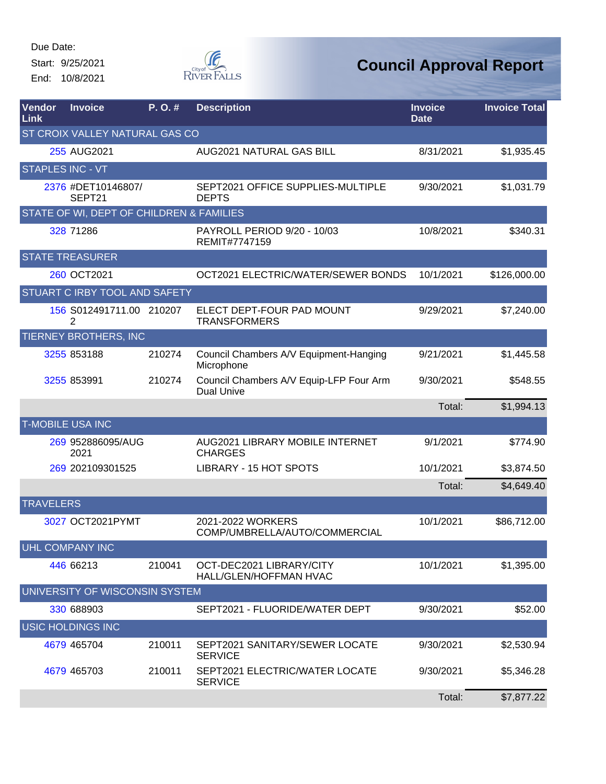Start: 9/25/2021 End: 10/8/2021



| Vendor<br>Link   | <b>Invoice</b>                           | P. O. # | <b>Description</b>                                           | <b>Invoice</b><br><b>Date</b> | <b>Invoice Total</b> |
|------------------|------------------------------------------|---------|--------------------------------------------------------------|-------------------------------|----------------------|
|                  | ST CROIX VALLEY NATURAL GAS CO           |         |                                                              |                               |                      |
|                  | 255 AUG2021                              |         | AUG2021 NATURAL GAS BILL                                     | 8/31/2021                     | \$1,935.45           |
| STAPLES INC - VT |                                          |         |                                                              |                               |                      |
|                  | 2376 #DET10146807/<br>SEPT21             |         | SEPT2021 OFFICE SUPPLIES-MULTIPLE<br><b>DEPTS</b>            | 9/30/2021                     | \$1,031.79           |
|                  | STATE OF WI, DEPT OF CHILDREN & FAMILIES |         |                                                              |                               |                      |
|                  | 328 71286                                |         | PAYROLL PERIOD 9/20 - 10/03<br>REMIT#7747159                 | 10/8/2021                     | \$340.31             |
|                  | <b>STATE TREASURER</b>                   |         |                                                              |                               |                      |
|                  | 260 OCT2021                              |         | OCT2021 ELECTRIC/WATER/SEWER BONDS                           | 10/1/2021                     | \$126,000.00         |
|                  | STUART C IRBY TOOL AND SAFETY            |         |                                                              |                               |                      |
|                  | 156 S012491711.00 210207<br>2            |         | ELECT DEPT-FOUR PAD MOUNT<br><b>TRANSFORMERS</b>             | 9/29/2021                     | \$7,240.00           |
|                  | TIERNEY BROTHERS, INC                    |         |                                                              |                               |                      |
|                  | 3255 853188                              | 210274  | Council Chambers A/V Equipment-Hanging<br>Microphone         | 9/21/2021                     | \$1,445.58           |
|                  | 3255 853991                              | 210274  | Council Chambers A/V Equip-LFP Four Arm<br><b>Dual Unive</b> | 9/30/2021                     | \$548.55             |
|                  |                                          |         |                                                              | Total:                        | \$1,994.13           |
|                  | <b>T-MOBILE USA INC</b>                  |         |                                                              |                               |                      |
|                  | 269 952886095/AUG<br>2021                |         | AUG2021 LIBRARY MOBILE INTERNET<br><b>CHARGES</b>            | 9/1/2021                      | \$774.90             |
|                  | 269 202109301525                         |         | LIBRARY - 15 HOT SPOTS                                       | 10/1/2021                     | \$3,874.50           |
|                  |                                          |         |                                                              | Total:                        | \$4,649.40           |
| <b>TRAVELERS</b> |                                          |         |                                                              |                               |                      |
|                  | 3027 OCT2021PYMT                         |         | 2021-2022 WORKERS<br>COMP/UMBRELLA/AUTO/COMMERCIAL           | 10/1/2021                     | \$86,712.00          |
|                  | UHL COMPANY INC                          |         |                                                              |                               |                      |
|                  | 446 66213                                | 210041  | OCT-DEC2021 LIBRARY/CITY<br>HALL/GLEN/HOFFMAN HVAC           | 10/1/2021                     | \$1,395.00           |
|                  | UNIVERSITY OF WISCONSIN SYSTEM           |         |                                                              |                               |                      |
|                  | 330 688903                               |         | SEPT2021 - FLUORIDE/WATER DEPT                               | 9/30/2021                     | \$52.00              |
|                  | <b>USIC HOLDINGS INC</b>                 |         |                                                              |                               |                      |
|                  | 4679 465704                              | 210011  | SEPT2021 SANITARY/SEWER LOCATE<br><b>SERVICE</b>             | 9/30/2021                     | \$2,530.94           |
|                  | 4679 465703                              | 210011  | SEPT2021 ELECTRIC/WATER LOCATE<br><b>SERVICE</b>             | 9/30/2021                     | \$5,346.28           |
|                  |                                          |         |                                                              | Total:                        | \$7,877.22           |